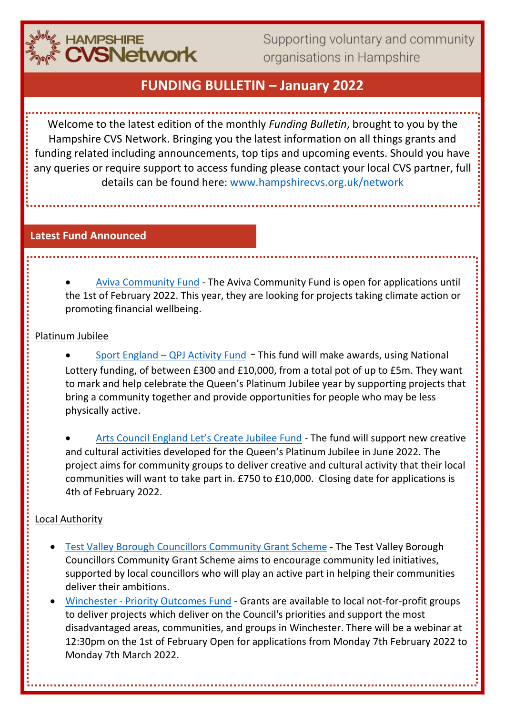

Supporting voluntary and community organisations in Hampshire

## **FUNDING BULLETIN – January 2022**

Welcome to the latest edition of the monthly *Funding Bulletin*, brought to you by the Hampshire CVS Network. Bringing you the latest information on all things grants and funding related including announcements, top tips and upcoming events. Should you have any queries or require support to access funding please contact your local CVS partner, full details can be found here: [www.hampshirecvs.org.uk/network](http://www.hampshirecvs.org.uk/network)

### **Latest Fund Announced**

• [Aviva Community Fund](https://www.avivacommunityfund.co.uk/start-crowdfunding) - The Aviva Community Fund is open for applications until the 1st of February 2022. This year, they are looking for projects taking climate action or promoting financial wellbeing.

### Platinum Jubilee

Sport England – [QPJ Activity Fund](https://www.sportengland.org/how-we-can-help/our-funds/queens-platinum-jubilee-activity-fund) - This fund will make awards, using National Lottery funding, of between £300 and £10,000, from a total pot of up to £5m. They want to mark and help celebrate the Queen's Platinum Jubilee year by supporting projects that bring a community together and provide opportunities for people who may be less physically active.

[Arts Council England Let's Create Jubilee Fund](https://www.hiwcf.org.uk/grant/arts-council-england-lets-create-jubilee-fund/) - The fund will support new creative and cultural activities developed for the Queen's Platinum Jubilee in June 2022. The project aims for community groups to deliver creative and cultural activity that their local communities will want to take part in. £750 to £10,000. Closing date for applications is 4th of February 2022.

### Local Authority

- [Test Valley Borough Councillors Community Grant Scheme](https://www.testvalley.gov.uk/communityandleisure/workingwithcommunities/communitygrants/test-valley-borough-councillors-community-grant) The Test Valley Borough Councillors Community Grant Scheme aims to encourage community led initiatives, supported by local councillors who will play an active part in helping their communities deliver their ambitions.
- Winchester [Priority Outcomes Fund](https://www.winchester.gov.uk/grants/priority-outcomes-fund) Grants are available to local not-for-profit groups to deliver projects which deliver on the Council's priorities and support the most disadvantaged areas, communities, and groups in Winchester. There will be a webinar at 12:30pm on the 1st of February Open for applications from Monday 7th February 2022 to Monday 7th March 2022.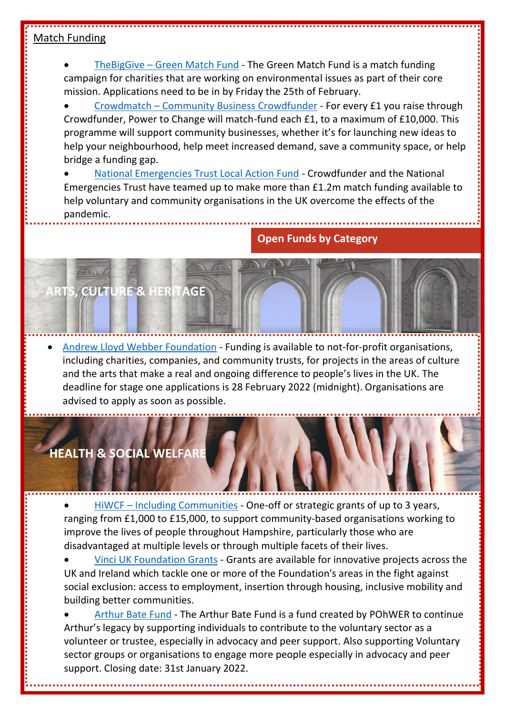### Match Funding

• TheBigGive – [Green Match Fund](https://www.thebiggive.org.uk/s/green-match-fund) - The Green Match Fund is a match funding campaign for charities that are working on environmental issues as part of their core mission. Applications need to be in by Friday the 25th of February.

• Crowdmatch – [Community Business Crowdfunder](https://www.powertochange.org.uk/our-work/our-programmes/crowdmatch/) - For every £1 you raise through Crowdfunder, Power to Change will match-fund each £1, to a maximum of £10,000. This programme will support community businesses, whether it's for launching new ideas to help your neighbourhood, help meet increased demand, save a community space, or help bridge a funding gap.

• [National Emergencies Trust Local Action Fund](https://www.crowdfunder.co.uk/local-action-fund) - Crowdfunder and the National Emergencies Trust have teamed up to make more than £1.2m match funding available to help voluntary and community organisations in the UK overcome the effects of the pandemic.

### **Open Funds by Category**

• [Andrew Lloyd Webber Foundation](http://www.andrewlloydwebberfoundation.com/) - Funding is available to not-for-profit organisations, including charities, companies, and community trusts, for projects in the areas of culture and the arts that make a real and ongoing difference to people's lives in the UK. The deadline for stage one applications is 28 February 2022 (midnight). Organisations are advised to apply as soon as possible.

# **HEALTH & SOCIAL WELFARE**

**ARTS, CULTURE & HERITAGE**

• HiWCF – [Including Communities](https://www.hiwcf.org.uk/grant/including-communities/) - One-off or strategic grants of up to 3 years, ranging from £1,000 to £15,000, to support community-based organisations working to improve the lives of people throughout Hampshire, particularly those who are disadvantaged at multiple levels or through multiple facets of their lives.

• [Vinci UK Foundation Grants](https://vinci-uk-foundation.co.uk/your-project/criteria/) - Grants are available for innovative projects across the UK and Ireland which tackle one or more of the Foundation's areas in the fight against social exclusion: access to employment, insertion through housing, inclusive mobility and building better communities.

• [Arthur Bate Fund](https://www.pohwer.net/arthur-bate-fund) - The Arthur Bate Fund is a fund created by POhWER to continue Arthur's legacy by supporting individuals to contribute to the voluntary sector as a volunteer or trustee, especially in advocacy and peer support. Also supporting Voluntary sector groups or organisations to engage more people especially in advocacy and peer support. Closing date: 31st January 2022.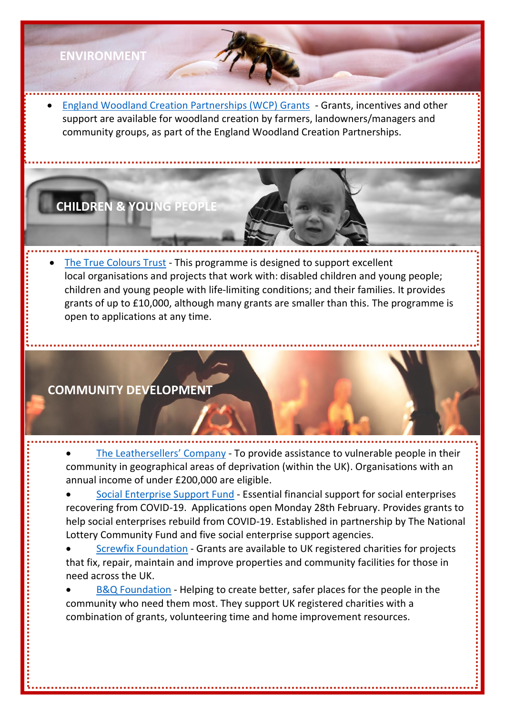### **ENVIRONMENT**

• [England Woodland Creation Partnerships \(WCP\) Grants](https://www.gov.uk/government/publications/england-woodland-creation-partnerships-grants-and-advice-table) - Grants, incentives and other support are available for woodland creation by farmers, landowners/managers and community groups, as part of the England Woodland Creation Partnerships.

**CHILDREN & YOUNG PEOPLE**

• [The True](https://www.truecolourstrust.org.uk/small-grants-uk/) Colours Trust - This programme is designed to support excellent local organisations and projects that work with: disabled children and young people; children and young people with life-limiting conditions; and their families. It provides grants of up to £10,000, although many grants are smaller than this. The programme is open to applications at any time.

### **COMMUNITY DEVELOPMENT**

• The [Leathersellers](https://leathersellers.co.uk/small-grants-programme/?mc_cid=017facb5eb&mc_eid=cdb02a385b)' Company - To provide assistance to vulnerable people in their community in geographical areas of deprivation (within the UK). Organisations with an annual income of under £200,000 are eligible.

- [Social Enterprise Support Fund](https://socialenterprisesupportfund.org.uk/) Essential financial support for social enterprises recovering from COVID-19. Applications open Monday 28th February. Provides grants to help social enterprises rebuild from COVID-19. Established in partnership by The National Lottery Community Fund and five social enterprise support agencies.
- **[Screwfix Foundation](https://www.screwfix.com/help/screwfixfoundation/) Grants are available to UK registered charities for projects** that fix, repair, maintain and improve properties and community facilities for those in need across the UK.
- [B&Q Foundation](https://www.neighbourly.com/BandQFoundation) Helping to create better, safer places for the people in the community who need them most. They support UK registered charities with a combination of grants, volunteering time and home improvement resources.